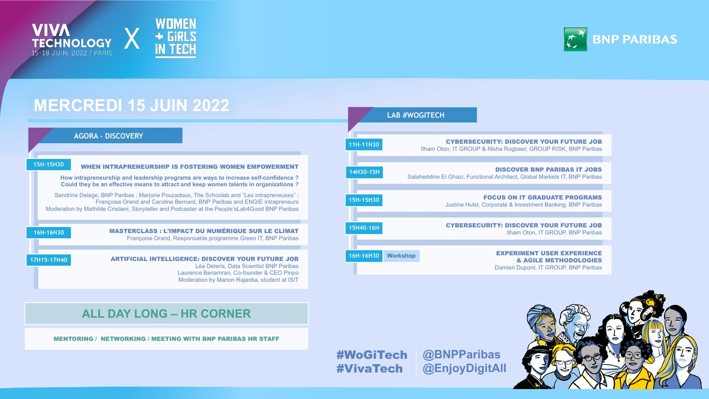



# **MERCREDI 15 JUIN 2022**

**11H-11H30**



| 30 | <b>CYBERSECURITY: DISCOVER YOUR FUTURE JOB</b><br>Ilham Oton, IT GROUP & Nisha Rogbeer, GROUP RISK, BNP Paribas       |  |
|----|-----------------------------------------------------------------------------------------------------------------------|--|
|    |                                                                                                                       |  |
| 5H | <b>DISCOVER BNP PARIBAS IT JOBS</b><br>Salaheddine El Ghazi, Functional Architect, Global Markets IT, BNP Paribas     |  |
|    |                                                                                                                       |  |
| 30 | <b>FOCUS ON IT GRADUATE PROGRAMS</b><br><b>Justine Hulst, Corporate &amp; Investment Banking, BNP Paribas</b>         |  |
|    |                                                                                                                       |  |
| 6H | <b>CYBERSECURITY: DISCOVER YOUR FUTURE JOB</b><br>Ilham Oton, IT GROUP, BNP Paribas                                   |  |
|    |                                                                                                                       |  |
| 30 | <b>EXPERIMENT USER EXPERIENCE</b><br><b>Workshop</b><br>& AGILE METHODOLOGIES<br>Damien Dupont, IT GROUP, BNP Paribas |  |



### **LAB #WOGITECH**

**ALL DAY LONG – HR CORNER**

#### MENTORING / NETWORKING / MEETING WITH BNP PARIBAS HR STAFF

### #WoGiTech **@BNPParibas** #VivaTech **@EnjoyDigitAll**

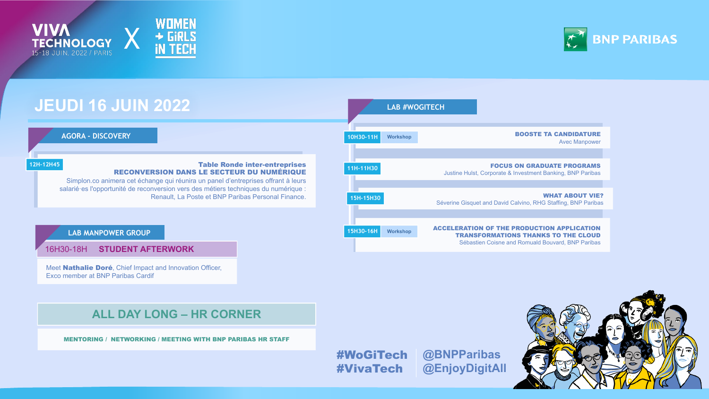X

#### Table Ronde inter-entreprises RECONVERSION DANS LE SECTEUR DU NUMÉRIQUE

Simplon.co animera cet échange qui réunira un panel d'entreprises offrant à leurs salarié·es l'opportunité de reconversion vers des métiers techniques du numérique : Renault, La Poste et BNP Paribas Personal Finance.

**12H-12H45**



# **JEUDI 16 JUIN 2022**

Meet **Nathalie Doré**, Chief Impact and Innovation Officer, Exco member at BNP Paribas Cardif

|                                                                                                                                                      | <b>LAB #WOGITECH</b> |                         |
|------------------------------------------------------------------------------------------------------------------------------------------------------|----------------------|-------------------------|
|                                                                                                                                                      |                      |                         |
| <b>BOOSTE TA CANDIDATURE</b><br><b>Avec Manpower</b>                                                                                                 | <b>Workshop</b>      | Н                       |
|                                                                                                                                                      |                      |                         |
| <b>FOCUS ON GRADUATE PROGRAMS</b><br>Justine Hulst, Corporate & Investment Banking, BNP Paribas                                                      |                      | $\overline{\textbf{0}}$ |
|                                                                                                                                                      |                      |                         |
| <b>WHAT ABOUT VIE?</b><br>Séverine Gisquet and David Calvino, RHG Staffing, BNP Paribas                                                              |                      | 30                      |
|                                                                                                                                                      |                      |                         |
| <b>ACCELERATION OF THE PRODUCTION APPLICATION</b><br><b>TRANSFORMATIONS THANKS TO THE CLOUD</b><br>Sébastien Coisne and Romuald Bouvard, BNP Paribas | <b>Workshop</b>      | H                       |

**11H-11H30 15H-15H30 15H30-1 10H30-11H Workshop**

### **AGORA - DISCOVERY**

**TECHNOLOGY** 

## **ALL DAY LONG – HR CORNER**

MENTORING / NETWORKING / MEETING WITH BNP PARIBAS HR STAFF

#WoGiTech #VivaTech



# **@BNPParibas @EnjoyDigitAll**



16H30-18H **STUDENT AFTERWORK**

**LAB MANPOWER GROUP**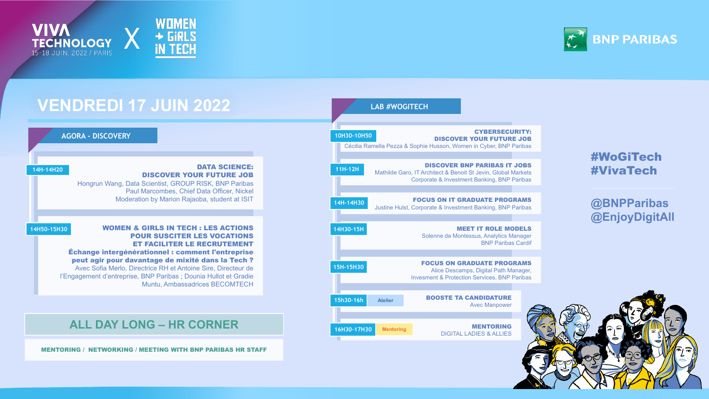



#### DATA SCIENCE: DISCOVER YOUR FUTURE JOB

Hongrun Wang, Data Scientist, GROUP RISK, BNP Paribas Paul Marcombes, Chief Data Officer, Nickel Moderation by Marion Rajaoba, student at ISIT

**14H-14H20**

#### WOMEN & GIRLS IN TECH : LES ACTIONS POUR SUSCITER LES VOCATIONS ET FACILITER LE RECRUTEMENT

Échange intergénérationnel : comment l'entreprise peut agir pour davantage de mixité dans la Tech ? Avec Sofia Merlo, Directrice RH et Antoine Sire, Directeur de

l'Engagement d'entreprise, BNP Paribas ; Dounia Hullot et Gradie Muntu, Ambassadrices BECOMTECH

**14H50-15H30**

# **VENDREDI 17 JUIN 2022**

#### CYBERSECURITY: DISCOVER YOUR FUTURE JOB

Cécilia Ramella Pezza & Sophie Husson, Women in Cyber, BNP Paribas

#### DISCOVER BNP PARIBAS IT JOBS

Mathilde Garo, IT Architect & Benoit St Jevin, Global Markets Corporate & Investment Banking, BNP Paribas

#### MEET IT ROLE MODELS Solenne de Montessus, Analytics Manager BNP Paribas Cardif



### **AGORA - DISCOVERY**

#### FOCUS ON IT GRADUATE PROGRAMS



Justine Hulst, Corporate & Investment Banking, BNP Paribas

MENTORING DIGITAL LADIES & ALLIES



## **ALL DAY LONG – HR CORNER 16H30-17H30 Mentoring**

MENTORING / NETWORKING / MEETING WITH BNP PARIBAS HR STAFF



#### FOCUS ON GRADUATE PROGRAMS

Alice Descamps, Digital Path Manager, Invesment & Protection Services, BNP Paribas

### **LAB #WOGITECH**

### #WoGiTech #VivaTech

## **@BNPParibas @EnjoyDigitAll**